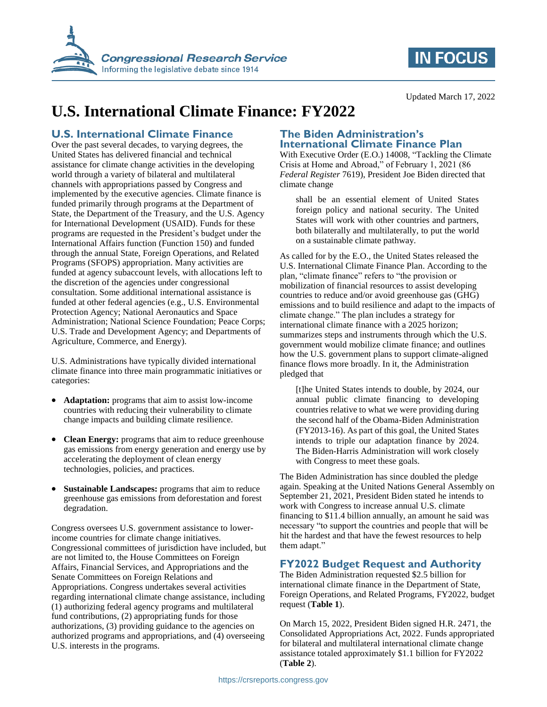

# **IN FOCUS**

Updated March 17, 2022

# **U.S. International Climate Finance: FY2022**

## **U.S. International Climate Finance**

Over the past several decades, to varying degrees, the United States has delivered financial and technical assistance for climate change activities in the developing world through a variety of bilateral and multilateral channels with appropriations passed by Congress and implemented by the executive agencies. Climate finance is funded primarily through programs at the Department of State, the Department of the Treasury, and the U.S. Agency for International Development (USAID). Funds for these programs are requested in the President's budget under the International Affairs function (Function 150) and funded through the annual State, Foreign Operations, and Related Programs (SFOPS) appropriation. Many activities are funded at agency subaccount levels, with allocations left to the discretion of the agencies under congressional consultation. Some additional international assistance is funded at other federal agencies (e.g., U.S. Environmental Protection Agency; National Aeronautics and Space Administration; National Science Foundation; Peace Corps; U.S. Trade and Development Agency; and Departments of Agriculture, Commerce, and Energy).

U.S. Administrations have typically divided international climate finance into three main programmatic initiatives or categories:

- **Adaptation:** programs that aim to assist low-income countries with reducing their vulnerability to climate change impacts and building climate resilience.
- **Clean Energy:** programs that aim to reduce greenhouse gas emissions from energy generation and energy use by accelerating the deployment of clean energy technologies, policies, and practices.
- **Sustainable Landscapes:** programs that aim to reduce greenhouse gas emissions from deforestation and forest degradation.

Congress oversees U.S. government assistance to lowerincome countries for climate change initiatives. Congressional committees of jurisdiction have included, but are not limited to, the House Committees on Foreign Affairs, Financial Services, and Appropriations and the Senate Committees on Foreign Relations and Appropriations. Congress undertakes several activities regarding international climate change assistance, including (1) authorizing federal agency programs and multilateral fund contributions, (2) appropriating funds for those authorizations, (3) providing guidance to the agencies on authorized programs and appropriations, and (4) overseeing U.S. interests in the programs.

### **The Biden Administration's International Climate Finance Plan**

With Executive Order (E.O.) 14008, "Tackling the Climate Crisis at Home and Abroad," of February 1, 2021 (86 *Federal Register* 7619), President Joe Biden directed that climate change

shall be an essential element of United States foreign policy and national security. The United States will work with other countries and partners, both bilaterally and multilaterally, to put the world on a sustainable climate pathway.

As called for by the E.O., the United States released the U.S. International Climate Finance Plan. According to the plan, "climate finance" refers to "the provision or mobilization of financial resources to assist developing countries to reduce and/or avoid greenhouse gas (GHG) emissions and to build resilience and adapt to the impacts of climate change." The plan includes a strategy for international climate finance with a 2025 horizon; summarizes steps and instruments through which the U.S. government would mobilize climate finance; and outlines how the U.S. government plans to support climate-aligned finance flows more broadly. In it, the Administration pledged that

[t]he United States intends to double, by 2024, our annual public climate financing to developing countries relative to what we were providing during the second half of the Obama-Biden Administration (FY2013-16). As part of this goal, the United States intends to triple our adaptation finance by 2024. The Biden-Harris Administration will work closely with Congress to meet these goals.

The Biden Administration has since doubled the pledge again. Speaking at the United Nations General Assembly on September 21, 2021, President Biden stated he intends to work with Congress to increase annual U.S. climate financing to \$11.4 billion annually, an amount he said was necessary "to support the countries and people that will be hit the hardest and that have the fewest resources to help them adapt."

### **FY2022 Budget Request and Authority**

The Biden Administration requested \$2.5 billion for international climate finance in the Department of State, Foreign Operations, and Related Programs, FY2022, budget request (**[Table 1](#page-1-0)**).

On March 15, 2022, President Biden signed H.R. 2471, the Consolidated Appropriations Act, 2022. Funds appropriated for bilateral and multilateral international climate change assistance totaled approximately \$1.1 billion for FY2022 (**[Table 2](#page-1-1)**).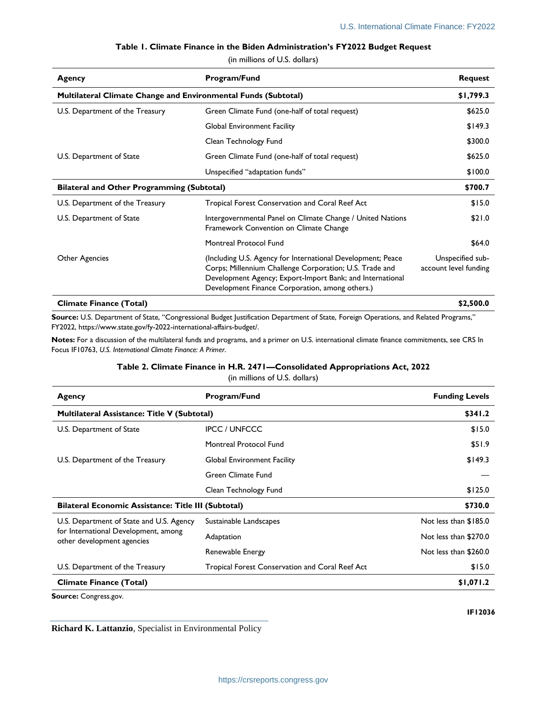#### **Table 1. Climate Finance in the Biden Administration's FY2022 Budget Request**

(in millions of U.S. dollars)

<span id="page-1-0"></span>

| Agency                                                                | Program/Fund                                                                                                                                                                                                                           | <b>Request</b>                            |
|-----------------------------------------------------------------------|----------------------------------------------------------------------------------------------------------------------------------------------------------------------------------------------------------------------------------------|-------------------------------------------|
| <b>Multilateral Climate Change and Environmental Funds (Subtotal)</b> |                                                                                                                                                                                                                                        | \$1,799.3                                 |
| U.S. Department of the Treasury                                       | Green Climate Fund (one-half of total request)                                                                                                                                                                                         | \$625.0                                   |
|                                                                       | <b>Global Environment Facility</b>                                                                                                                                                                                                     | \$149.3                                   |
|                                                                       | Clean Technology Fund                                                                                                                                                                                                                  | \$300.0                                   |
| U.S. Department of State                                              | Green Climate Fund (one-half of total request)                                                                                                                                                                                         | \$625.0                                   |
|                                                                       | Unspecified "adaptation funds"                                                                                                                                                                                                         | \$100.0                                   |
| <b>Bilateral and Other Programming (Subtotal)</b>                     |                                                                                                                                                                                                                                        | \$700.7                                   |
| U.S. Department of the Treasury                                       | Tropical Forest Conservation and Coral Reef Act                                                                                                                                                                                        | \$15.0                                    |
| U.S. Department of State                                              | Intergovernmental Panel on Climate Change / United Nations<br>Framework Convention on Climate Change                                                                                                                                   | \$21.0                                    |
|                                                                       | Montreal Protocol Fund                                                                                                                                                                                                                 | \$64.0                                    |
| Other Agencies                                                        | (Including U.S. Agency for International Development; Peace<br>Corps; Millennium Challenge Corporation; U.S. Trade and<br>Development Agency; Export-Import Bank; and International<br>Development Finance Corporation, among others.) | Unspecified sub-<br>account level funding |
| <b>Climate Finance (Total)</b>                                        |                                                                                                                                                                                                                                        | \$2,500.0                                 |

**Source:** U.S. Department of State, "Congressional Budget Justification Department of State, Foreign Operations, and Related Programs," FY2022, https://www.state.gov/fy-2022-international-affairs-budget/.

<span id="page-1-1"></span>**Notes:** For a discussion of the multilateral funds and programs, and a primer on U.S. international climate finance commitments, see CRS In Focus IF10763, *U.S. International Climate Finance: A Primer*.

#### **Table 2. Climate Finance in H.R. 2471—Consolidated Appropriations Act, 2022**

(in millions of U.S. dollars)

| Agency                                                                                                         | Program/Fund                                    | <b>Funding Levels</b> |
|----------------------------------------------------------------------------------------------------------------|-------------------------------------------------|-----------------------|
| Multilateral Assistance: Title V (Subtotal)                                                                    |                                                 | \$341.2               |
| U.S. Department of State                                                                                       | <b>IPCC / UNFCCC</b>                            | \$15.0                |
|                                                                                                                | Montreal Protocol Fund                          | \$51.9                |
| U.S. Department of the Treasury                                                                                | <b>Global Environment Facility</b>              | \$149.3               |
|                                                                                                                | Green Climate Fund                              |                       |
|                                                                                                                | Clean Technology Fund                           | \$125.0               |
| <b>Bilateral Economic Assistance: Title III (Subtotal)</b>                                                     |                                                 | \$730.0               |
| U.S. Department of State and U.S. Agency<br>for International Development, among<br>other development agencies | Sustainable Landscapes                          | Not less than \$185.0 |
|                                                                                                                | Adaptation                                      | Not less than \$270.0 |
|                                                                                                                | Renewable Energy                                | Not less than \$260.0 |
| U.S. Department of the Treasury                                                                                | Tropical Forest Conservation and Coral Reef Act | \$15.0                |
| <b>Climate Finance (Total)</b>                                                                                 | \$1,071.2                                       |                       |

**Source:** Congress.gov.

**Richard K. Lattanzio**, Specialist in Environmental Policy

**IF12036**